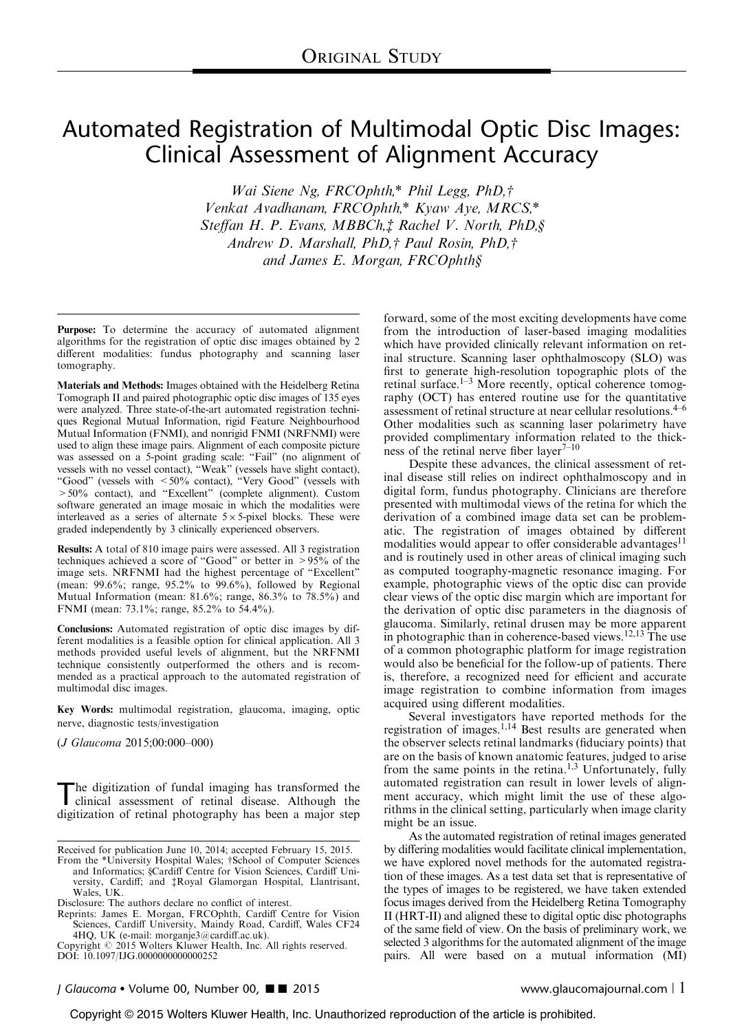# Automated Registration of Multimodal Optic Disc Images: Clinical Assessment of Alignment Accuracy

Wai Siene Ng, FRCOphth,\* Phil Legg, PhD,† Venkat Avadhanam, FRCOphth,\* Kyaw Aye, MRCS,\* Steffan H. P. Evans, MBBCh, $\ddagger$  Rachel V. North, PhD,§ Andrew D. Marshall, PhD, $\dagger$  Paul Rosin, PhD, $\dagger$ and James E. Morgan, FRCOphthy

Purpose: To determine the accuracy of automated alignment algorithms for the registration of optic disc images obtained by 2 different modalities: fundus photography and scanning laser tomography.

Materials and Methods: Images obtained with the Heidelberg Retina Tomograph II and paired photographic optic disc images of 135 eyes were analyzed. Three state-of-the-art automated registration techniques Regional Mutual Information, rigid Feature Neighbourhood Mutual Information (FNMI), and nonrigid FNMI (NRFNMI) were used to align these image pairs. Alignment of each composite picture was assessed on a 5-point grading scale: "Fail" (no alignment of vessels with no vessel contact), "Weak" (vessels have slight contact), "Good" (vessels with <50% contact), "Very Good" (vessels with >50% contact), and "Excellent" (complete alignment). Custom software generated an image mosaic in which the modalities were interleaved as a series of alternate  $5 \times 5$ -pixel blocks. These were graded independently by 3 clinically experienced observers.

Results: A total of 810 image pairs were assessed. All 3 registration techniques achieved a score of "Good" or better in  $> 95\%$  of the image sets. NRFNMI had the highest percentage of "Excellent" (mean: 99.6%; range, 95.2% to 99.6%), followed by Regional Mutual Information (mean: 81.6%; range, 86.3% to 78.5%) and FNMI (mean: 73.1%; range, 85.2% to 54.4%).

Conclusions: Automated registration of optic disc images by different modalities is a feasible option for clinical application. All 3 methods provided useful levels of alignment, but the NRFNMI technique consistently outperformed the others and is recommended as a practical approach to the automated registration of multimodal disc images.

Key Words: multimodal registration, glaucoma, imaging, optic nerve, diagnostic tests/investigation

(J Glaucoma 2015;00:000–000)

The digitization of fundal imaging has transformed the clinical assessment of retinal disease. Although the digitization of retinal photography has been a major step

Copyright © 2015 Wolters Kluwer Health, Inc. All rights reserved. DOI: 10.1097/IJG.0000000000000252

forward, some of the most exciting developments have come from the introduction of laser-based imaging modalities which have provided clinically relevant information on retinal structure. Scanning laser ophthalmoscopy (SLO) was first to generate high-resolution topographic plots of the retinal surface.<sup>1-3</sup> More recently, optical coherence tomography (OCT) has entered routine use for the quantitative assessment of retinal structure at near cellular resolutions[.4–6](#page-4-0) Other modalities such as scanning laser polarimetry have provided complimentary information related to the thickness of the retinal nerve fiber layer $7^{-10}$ 

Despite these advances, the clinical assessment of retinal disease still relies on indirect ophthalmoscopy and in digital form, fundus photography. Clinicians are therefore presented with multimodal views of the retina for which the derivation of a combined image data set can be problematic. The registration of images obtained by different modalities would appear to offer considerable advantages<sup>[11](#page-5-0)</sup> and is routinely used in other areas of clinical imaging such as computed toography-magnetic resonance imaging. For example, photographic views of the optic disc can provide clear views of the optic disc margin which are important for the derivation of optic disc parameters in the diagnosis of glaucoma. Similarly, retinal drusen may be more apparent in photographic than in coherence-based views.<sup>[12,13](#page-5-0)</sup> The use of a common photographic platform for image registration would also be beneficial for the follow-up of patients. There is, therefore, a recognized need for efficient and accurate image registration to combine information from images acquired using different modalities.

Several investigators have reported methods for the registration of images. $1,14$  Best results are generated when the observer selects retinal landmarks (fiduciary points) that are on the basis of known anatomic features, judged to arise from the same points in the retina.<sup>[1,3](#page-4-0)</sup> Unfortunately, fully automated registration can result in lower levels of alignment accuracy, which might limit the use of these algorithms in the clinical setting, particularly when image clarity might be an issue.

As the automated registration of retinal images generated by differing modalities would facilitate clinical implementation, we have explored novel methods for the automated registration of these images. As a test data set that is representative of the types of images to be registered, we have taken extended focus images derived from the Heidelberg Retina Tomography II (HRT-II) and aligned these to digital optic disc photographs of the same field of view. On the basis of preliminary work, we selected 3 algorithms for the automated alignment of the image pairs. All were based on a mutual information (MI)

Received for publication June 10, 2014; accepted February 15, 2015.

From the \*University Hospital Wales; †School of Computer Sciences and Informatics; §Cardiff Centre for Vision Sciences, Cardiff University, Cardiff; and <sup>+</sup>Royal Glamorgan Hospital, Llantrisant, Wales, UK.

Disclosure: The authors declare no conflict of interest.

Reprints: James E. Morgan, FRCOphth, Cardiff Centre for Vision Sciences, Cardiff University, Maindy Road, Cardiff, Wales CF24 4HQ, UK (e-mail: [morganje3@cardi](mailto:morganje3@cardiff.ac.uk)ff.ac.uk).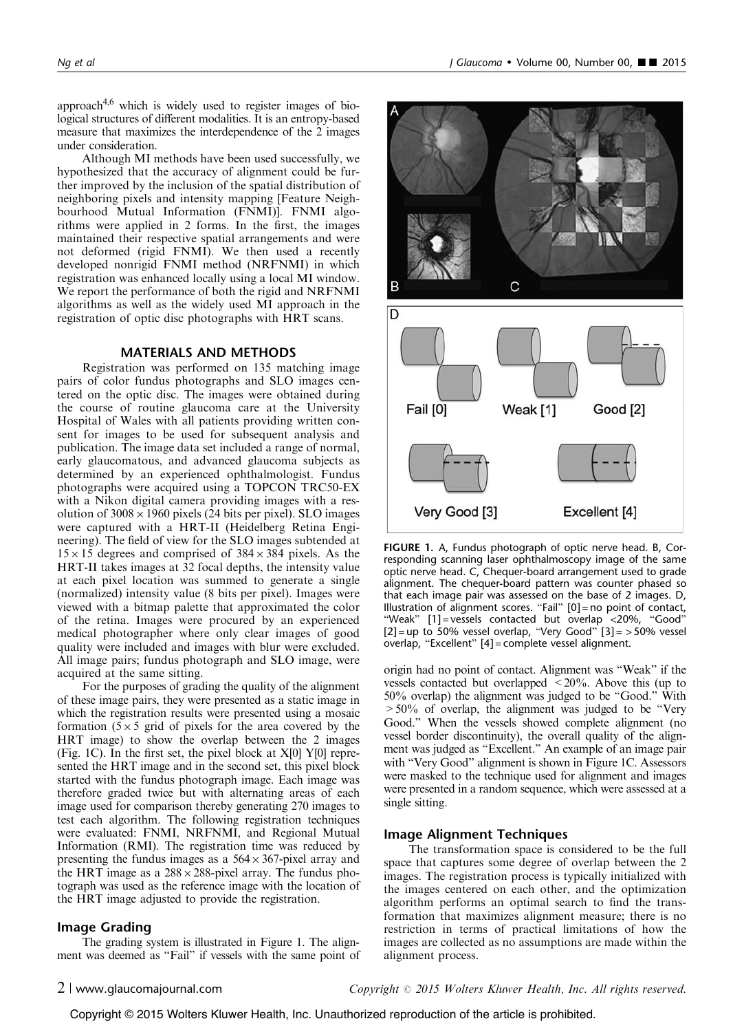<span id="page-1-0"></span>approach $4,6$  which is widely used to register images of biological structures of different modalities. It is an entropy-based measure that maximizes the interdependence of the 2 images under consideration.

Although MI methods have been used successfully, we hypothesized that the accuracy of alignment could be further improved by the inclusion of the spatial distribution of neighboring pixels and intensity mapping [Feature Neighbourhood Mutual Information (FNMI)]. FNMI algorithms were applied in 2 forms. In the first, the images maintained their respective spatial arrangements and were not deformed (rigid FNMI). We then used a recently developed nonrigid FNMI method (NRFNMI) in which registration was enhanced locally using a local MI window. We report the performance of both the rigid and NRFNMI algorithms as well as the widely used MI approach in the registration of optic disc photographs with HRT scans.

### MATERIALS AND METHODS

Registration was performed on 135 matching image pairs of color fundus photographs and SLO images centered on the optic disc. The images were obtained during the course of routine glaucoma care at the University Hospital of Wales with all patients providing written consent for images to be used for subsequent analysis and publication. The image data set included a range of normal, early glaucomatous, and advanced glaucoma subjects as determined by an experienced ophthalmologist. Fundus photographs were acquired using a TOPCON TRC50-EX with a Nikon digital camera providing images with a resolution of  $3008 \times 1960$  pixels (24 bits per pixel). SLO images were captured with a HRT-II (Heidelberg Retina Engineering). The field of view for the SLO images subtended at  $15 \times 15$  degrees and comprised of  $384 \times 384$  pixels. As the HRT-II takes images at 32 focal depths, the intensity value at each pixel location was summed to generate a single (normalized) intensity value (8 bits per pixel). Images were viewed with a bitmap palette that approximated the color of the retina. Images were procured by an experienced medical photographer where only clear images of good quality were included and images with blur were excluded. All image pairs; fundus photograph and SLO image, were acquired at the same sitting.

For the purposes of grading the quality of the alignment of these image pairs, they were presented as a static image in which the registration results were presented using a mosaic formation  $(5 \times 5$  grid of pixels for the area covered by the HRT image) to show the overlap between the 2 images (Fig. 1C). In the first set, the pixel block at X[0] Y[0] represented the HRT image and in the second set, this pixel block started with the fundus photograph image. Each image was therefore graded twice but with alternating areas of each image used for comparison thereby generating 270 images to test each algorithm. The following registration techniques were evaluated: FNMI, NRFNMI, and Regional Mutual Information (RMI). The registration time was reduced by presenting the fundus images as a  $564 \times 367$ -pixel array and the HRT image as a  $288 \times 288$ -pixel array. The fundus photograph was used as the reference image with the location of the HRT image adjusted to provide the registration.

#### Image Grading

The grading system is illustrated in Figure 1. The alignment was deemed as "Fail" if vessels with the same point of



FIGURE 1. A, Fundus photograph of optic nerve head. B, Corresponding scanning laser ophthalmoscopy image of the same optic nerve head. C, Chequer-board arrangement used to grade alignment. The chequer-board pattern was counter phased so that each image pair was assessed on the base of 2 images. D, Illustration of alignment scores. "Fail" [0] = no point of contact, "Weak" [1] = vessels contacted but overlap <20%, "Good"  $[2]$  = up to 50% vessel overlap, "Very Good"  $[3]$  = > 50% vessel overlap, "Excellent" [4] = complete vessel alignment.

origin had no point of contact. Alignment was "Weak" if the vessels contacted but overlapped  $\leq 20\%$ . Above this (up to 50% overlap) the alignment was judged to be "Good." With  $>50\%$  of overlap, the alignment was judged to be "Very Good." When the vessels showed complete alignment (no vessel border discontinuity), the overall quality of the alignment was judged as "Excellent." An example of an image pair with "Very Good" alignment is shown in Figure 1C. Assessors were masked to the technique used for alignment and images were presented in a random sequence, which were assessed at a single sitting.

### Image Alignment Techniques

The transformation space is considered to be the full space that captures some degree of overlap between the 2 images. The registration process is typically initialized with the images centered on each other, and the optimization algorithm performs an optimal search to find the transformation that maximizes alignment measure; there is no restriction in terms of practical limitations of how the images are collected as no assumptions are made within the alignment process.

2 <sup>|</sup> www.glaucomajournal.com Copyright <sup>r</sup> 2015 Wolters Kluwer Health, Inc. All rights reserved.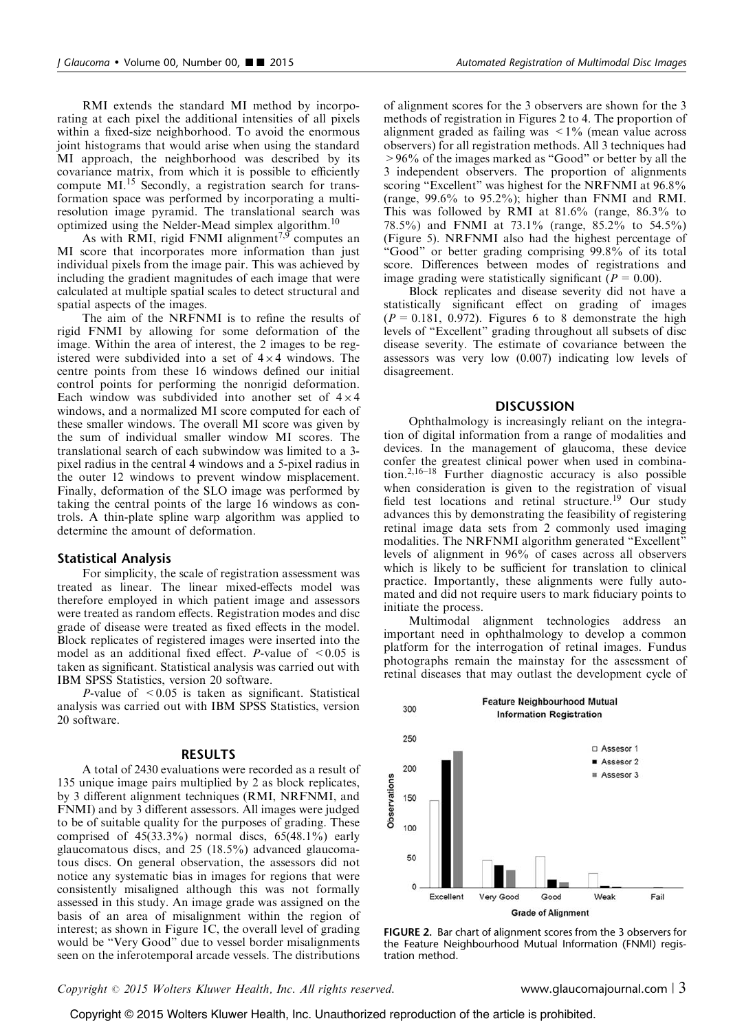RMI extends the standard MI method by incorporating at each pixel the additional intensities of all pixels within a fixed-size neighborhood. To avoid the enormous joint histograms that would arise when using the standard MI approach, the neighborhood was described by its covariance matrix, from which it is possible to efficiently compute MI.<sup>[15](#page-5-0)</sup> Secondly, a registration search for transformation space was performed by incorporating a multiresolution image pyramid. The translational search was optimized using the Nelder-Mead simplex algorithm.[10](#page-5-0)

As with RMI, rigid FNMI alignment<sup>[7,9](#page-5-0)</sup> computes an MI score that incorporates more information than just individual pixels from the image pair. This was achieved by including the gradient magnitudes of each image that were calculated at multiple spatial scales to detect structural and spatial aspects of the images.

The aim of the NRFNMI is to refine the results of rigid FNMI by allowing for some deformation of the image. Within the area of interest, the 2 images to be registered were subdivided into a set of  $4 \times 4$  windows. The centre points from these 16 windows defined our initial control points for performing the nonrigid deformation. Each window was subdivided into another set of  $4 \times 4$ windows, and a normalized MI score computed for each of these smaller windows. The overall MI score was given by the sum of individual smaller window MI scores. The translational search of each subwindow was limited to a 3 pixel radius in the central 4 windows and a 5-pixel radius in the outer 12 windows to prevent window misplacement. Finally, deformation of the SLO image was performed by taking the central points of the large 16 windows as controls. A thin-plate spline warp algorithm was applied to determine the amount of deformation.

#### Statistical Analysis

For simplicity, the scale of registration assessment was treated as linear. The linear mixed-effects model was therefore employed in which patient image and assessors were treated as random effects. Registration modes and disc grade of disease were treated as fixed effects in the model. Block replicates of registered images were inserted into the model as an additional fixed effect. *P*-value of  $\leq 0.05$  is taken as significant. Statistical analysis was carried out with IBM SPSS Statistics, version 20 software.

*P*-value of  $\leq 0.05$  is taken as significant. Statistical analysis was carried out with IBM SPSS Statistics, version 20 software.

#### RESULTS

A total of 2430 evaluations were recorded as a result of 135 unique image pairs multiplied by 2 as block replicates, by 3 different alignment techniques (RMI, NRFNMI, and FNMI) and by 3 different assessors. All images were judged to be of suitable quality for the purposes of grading. These comprised of  $45(33.3\%)$  normal discs,  $65(48.1\%)$  early glaucomatous discs, and 25 (18.5%) advanced glaucomatous discs. On general observation, the assessors did not notice any systematic bias in images for regions that were consistently misaligned although this was not formally assessed in this study. An image grade was assigned on the basis of an area of misalignment within the region of interest; as shown in [Figure 1C](#page-1-0), the overall level of grading would be "Very Good" due to vessel border misalignments seen on the inferotemporal arcade vessels. The distributions of alignment scores for the 3 observers are shown for the 3 methods of registration in Figures 2 to 4. The proportion of alignment graded as failing was  $\leq 1\%$  (mean value across observers) for all registration methods. All 3 techniques had >96% of the images marked as "Good" or better by all the 3 independent observers. The proportion of alignments scoring "Excellent" was highest for the NRFNMI at 96.8% (range, 99.6% to 95.2%); higher than FNMI and RMI. This was followed by RMI at 81.6% (range, 86.3% to 78.5%) and FNMI at 73.1% (range, 85.2% to 54.5%) ([Figure 5\)](#page-3-0). NRFNMI also had the highest percentage of "Good" or better grading comprising 99.8% of its total score. Differences between modes of registrations and image grading were statistically significant ( $P = 0.00$ ).

Block replicates and disease severity did not have a statistically significant effect on grading of images  $(P = 0.181, 0.972)$ . [Figures 6 to 8](#page-3-0) demonstrate the high levels of "Excellent" grading throughout all subsets of disc disease severity. The estimate of covariance between the assessors was very low (0.007) indicating low levels of disagreement.

#### **DISCUSSION**

Ophthalmology is increasingly reliant on the integration of digital information from a range of modalities and devices. In the management of glaucoma, these device confer the greatest clinical power when used in combination.[2,16–18](#page-4-0) Further diagnostic accuracy is also possible when consideration is given to the registration of visual field test locations and retinal structure.<sup>[19](#page-5-0)</sup> Our study advances this by demonstrating the feasibility of registering retinal image data sets from 2 commonly used imaging modalities. The NRFNMI algorithm generated "Excellent" levels of alignment in 96% of cases across all observers which is likely to be sufficient for translation to clinical practice. Importantly, these alignments were fully automated and did not require users to mark fiduciary points to initiate the process.

Multimodal alignment technologies address an important need in ophthalmology to develop a common platform for the interrogation of retinal images. Fundus photographs remain the mainstay for the assessment of retinal diseases that may outlast the development cycle of



FIGURE 2. Bar chart of alignment scores from the 3 observers for the Feature Neighbourhood Mutual Information (FNMI) registration method.

## $Copyright © 2015 Wolters Kluwer Health, Inc. All rights reserved.$  www.glaucomajournal.com | 3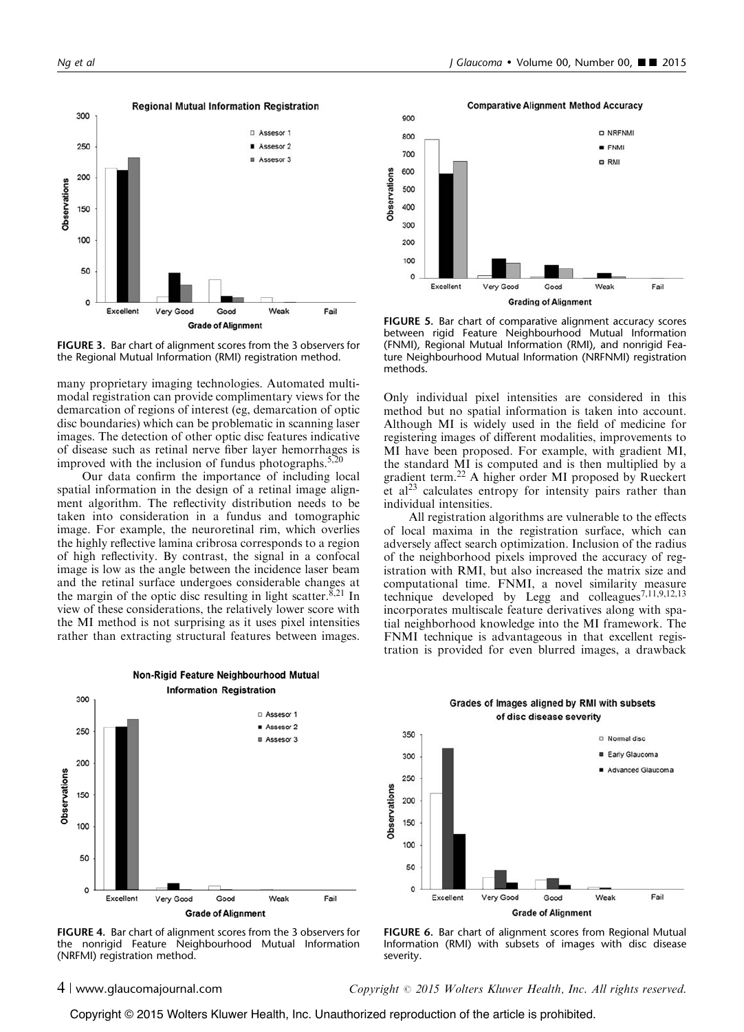<span id="page-3-0"></span>

FIGURE 3. Bar chart of alignment scores from the 3 observers for the Regional Mutual Information (RMI) registration method.

many proprietary imaging technologies. Automated multimodal registration can provide complimentary views for the demarcation of regions of interest (eg, demarcation of optic disc boundaries) which can be problematic in scanning laser images. The detection of other optic disc features indicative of disease such as retinal nerve fiber layer hemorrhages is improved with the inclusion of fundus photographs.<sup>[5,20](#page-4-0)</sup>

Our data confirm the importance of including local spatial information in the design of a retinal image alignment algorithm. The reflectivity distribution needs to be taken into consideration in a fundus and tomographic image. For example, the neuroretinal rim, which overlies the highly reflective lamina cribrosa corresponds to a region of high reflectivity. By contrast, the signal in a confocal image is low as the angle between the incidence laser beam and the retinal surface undergoes considerable changes at the margin of the optic disc resulting in light scatter. $\frac{8,21}{ }$  $\frac{8,21}{ }$  $\frac{8,21}{ }$  In view of these considerations, the relatively lower score with the MI method is not surprising as it uses pixel intensities rather than extracting structural features between images.



FIGURE 4. Bar chart of alignment scores from the 3 observers for the nonrigid Feature Neighbourhood Mutual Information (NRFMI) registration method.

**Comparative Alignment Method Accuracy** 



FIGURE 5. Bar chart of comparative alignment accuracy scores between rigid Feature Neighbourhood Mutual Information (FNMI), Regional Mutual Information (RMI), and nonrigid Feature Neighbourhood Mutual Information (NRFNMI) registration methods.

Only individual pixel intensities are considered in this method but no spatial information is taken into account. Although MI is widely used in the field of medicine for registering images of different modalities, improvements to MI have been proposed. For example, with gradient MI, the standard MI is computed and is then multiplied by a gradient term.<sup>[22](#page-5-0)</sup> A higher order MI proposed by Rueckert et al<sup>[23](#page-5-0)</sup> calculates entropy for intensity pairs rather than individual intensities.

All registration algorithms are vulnerable to the effects of local maxima in the registration surface, which can adversely affect search optimization. Inclusion of the radius of the neighborhood pixels improved the accuracy of registration with RMI, but also increased the matrix size and computational time. FNMI, a novel similarity measure technique developed by Legg and colleagues<sup>[7,11,9,12,13](#page-5-0)</sup> incorporates multiscale feature derivatives along with spatial neighborhood knowledge into the MI framework. The FNMI technique is advantageous in that excellent registration is provided for even blurred images, a drawback

Grades of Images aligned by RMI with subsets



FIGURE 6. Bar chart of alignment scores from Regional Mutual Information (RMI) with subsets of images with disc disease severity.

 $4$  | www.glaucomajournal.com  $Copyright \odot$  2015 Wolters Kluwer Health, Inc. All rights reserved.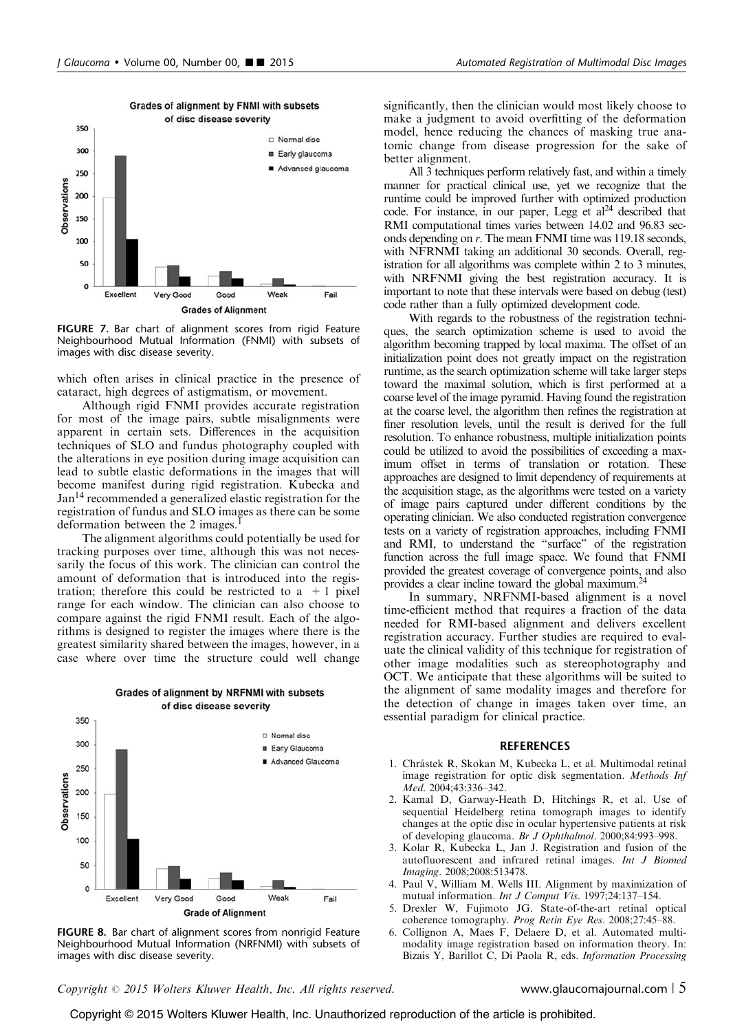<span id="page-4-0"></span>

FIGURE 7. Bar chart of alignment scores from rigid Feature Neighbourhood Mutual Information (FNMI) with subsets of images with disc disease severity.

which often arises in clinical practice in the presence of cataract, high degrees of astigmatism, or movement.

Although rigid FNMI provides accurate registration for most of the image pairs, subtle misalignments were apparent in certain sets. Differences in the acquisition techniques of SLO and fundus photography coupled with the alterations in eye position during image acquisition can lead to subtle elastic deformations in the images that will become manifest during rigid registration. Kubecka and Jan<sup>[14](#page-5-0)</sup> recommended a generalized elastic registration for the registration of fundus and SLO images as there can be some deformation between the 2 images.<sup>1</sup>

The alignment algorithms could potentially be used for tracking purposes over time, although this was not necessarily the focus of this work. The clinician can control the amount of deformation that is introduced into the registration; therefore this could be restricted to a  $+1$  pixel range for each window. The clinician can also choose to compare against the rigid FNMI result. Each of the algorithms is designed to register the images where there is the greatest similarity shared between the images, however, in a case where over time the structure could well change



FIGURE 8. Bar chart of alignment scores from nonrigid Feature Neighbourhood Mutual Information (NRFNMI) with subsets of images with disc disease severity.

significantly, then the clinician would most likely choose to make a judgment to avoid overfitting of the deformation model, hence reducing the chances of masking true anatomic change from disease progression for the sake of better alignment.

All 3 techniques perform relatively fast, and within a timely manner for practical clinical use, yet we recognize that the runtime could be improved further with optimized production code. For instance, in our paper, Legg et al<sup>[24](#page-5-0)</sup> described that RMI computational times varies between 14.02 and 96.83 seconds depending on r. The mean FNMI time was 119.18 seconds, with NFRNMI taking an additional 30 seconds. Overall, registration for all algorithms was complete within 2 to 3 minutes, with NRFNMI giving the best registration accuracy. It is important to note that these intervals were based on debug (test) code rather than a fully optimized development code.

With regards to the robustness of the registration techniques, the search optimization scheme is used to avoid the algorithm becoming trapped by local maxima. The offset of an initialization point does not greatly impact on the registration runtime, as the search optimization scheme will take larger steps toward the maximal solution, which is first performed at a coarse level of the image pyramid. Having found the registration at the coarse level, the algorithm then refines the registration at finer resolution levels, until the result is derived for the full resolution. To enhance robustness, multiple initialization points could be utilized to avoid the possibilities of exceeding a maximum offset in terms of translation or rotation. These approaches are designed to limit dependency of requirements at the acquisition stage, as the algorithms were tested on a variety of image pairs captured under different conditions by the operating clinician. We also conducted registration convergence tests on a variety of registration approaches, including FNMI and RMI, to understand the "surface" of the registration function across the full image space. We found that FNMI provided the greatest coverage of convergence points, and also provides a clear incline toward the global maximum.<sup>24</sup>

In summary, NRFNMI-based alignment is a novel time-efficient method that requires a fraction of the data needed for RMI-based alignment and delivers excellent registration accuracy. Further studies are required to evaluate the clinical validity of this technique for registration of other image modalities such as stereophotography and OCT. We anticipate that these algorithms will be suited to the alignment of same modality images and therefore for the detection of change in images taken over time, an essential paradigm for clinical practice.

#### **REFERENCES**

- 1. Chrástek R, Skokan M, Kubecka L, et al. Multimodal retinal image registration for optic disk segmentation. Methods Inf Med. 2004;43:336–342.
- 2. Kamal D, Garway-Heath D, Hitchings R, et al. Use of sequential Heidelberg retina tomograph images to identify changes at the optic disc in ocular hypertensive patients at risk of developing glaucoma. Br J Ophthalmol. 2000;84:993–998.
- 3. Kolar R, Kubecka L, Jan J. Registration and fusion of the autofluorescent and infrared retinal images. Int J Biomed Imaging. 2008;2008:513478.
- 4. Paul V, William M. Wells III. Alignment by maximization of mutual information. Int J Comput Vis. 1997;24:137–154.
- 5. Drexler W, Fujimoto JG. State-of-the-art retinal optical coherence tomography. Prog Retin Eye Res. 2008;27:45–88.
- 6. Collignon A, Maes F, Delaere D, et al. Automated multimodality image registration based on information theory. In: Bizais Y, Barillot C, Di Paola R, eds. Information Processing

 $Copyright © 2015 Wolters Kluwer Health, Inc. All rights reserved.$  www.glaucomajournal.com | 5